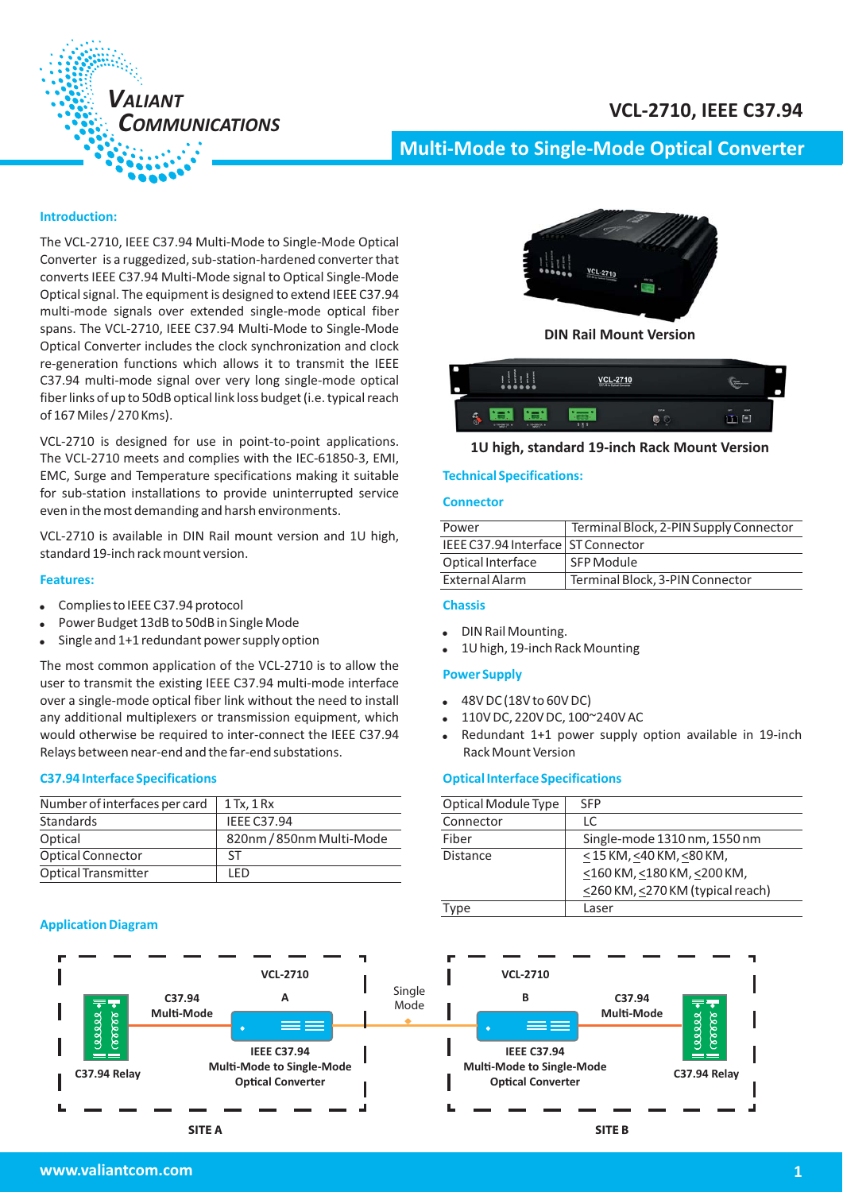# **VCL-2710, IEEE C37.94**



# **Multi-Mode to Single Mode Optical Converter -**

# **Introduction:**

The VCL-2710, IEEE C37.94 Multi-Mode to Single-Mode Optical Converter is a ruggedized, sub-station-hardened converter that converts IEEE C37.94 Multi-Mode signal to Optical Single-Mode Optical signal. The equipment is designed to extend IEEE C37.94 multi-mode signals over extended single-mode optical fiber spans. The VCL-2710, IEEE C37.94 Multi-Mode to Single-Mode Optical Converter includes the clock synchronization and clock re-generation functions which allows it to transmit the IEEE C37.94 multi-mode signal over very long single-mode optical fiber links of up to 50dB optical link loss budget (i.e. typical reach of 167 Miles / 270 Kms).

VCL-2710 is designed for use in point-to-point applications. The VCL-2710 meets and complies with the IEC-61850-3, EMI, EMC, Surge and Temperature specifications making it suitable for sub-station installations to provide uninterrupted service even in the most demanding and harsh environments.

VCL-2710 is available in DIN Rail mount version and 1U high, standard 19-inch rack mount version.

#### **Features:**

- $\bullet$ Complies to IEEE C37.94 protocol
- -Power Budget 13dB to 50dB in Single Mode
- -Single and 1+1 redundant power supply option

The most common application of the VCL-2710 is to allow the user to transmit the existing IEEE C37.94 multi-mode interface over a single-mode optical fiber link without the need to install any additional multiplexers or transmission equipment, which would otherwise be required to inter-connect the IEEE C37.94 Relays between near-end and the far-end substations.

#### **C37.94 Interface Specifications**

| Number of interfaces per card | $1$ Tx, $1$ Rx           |
|-------------------------------|--------------------------|
| Standards                     | <b>IEEE C37.94</b>       |
| Optical                       | 820nm / 850nm Multi-Mode |
| <b>Optical Connector</b>      | SΤ                       |
| <b>Optical Transmitter</b>    | I FD                     |

#### **Application Diagram**



**DIN Rail Mount Version**

| Ð              | $0 0 0 0 0 0 0$                | <b>VCL-2710</b><br>C37 94 to Optical Converter |                  | <b>Shipman</b><br><b><i><u>COLUMN</u></i></b> |
|----------------|--------------------------------|------------------------------------------------|------------------|-----------------------------------------------|
| σ<br>$\bullet$ | $\approx$ 100-200720 $\approx$ | 9, 8, 9<br>$\alpha$ valuation $\alpha$         | CSF.94<br>æ<br>в | ort<br><b>MOME</b>                            |

# **1U high, standard 19-inch Rack Mount Version**

## **Technical Specifications:**

# **Connector**

| Power                                | Terminal Block, 2-PIN Supply Connector |
|--------------------------------------|----------------------------------------|
| IEEE C37.94 Interface   ST Connector |                                        |
| Optical Interface                    | SFP Module                             |
| External Alarm                       | Terminal Block, 3-PIN Connector        |
|                                      |                                        |

#### **Chassis**

- -DIN Rail Mounting.
- -1U high, 19-inch Rack Mounting

#### **Power Supply**

- -48V DC (18V to 60V DC)
- -110V DC, 220V DC, 100~240V AC
- - Redundant 1+1 power supply option available in 19-inch Rack Mount Version

#### **Optical Interface Specifications**

| Optical Module Type | <b>SFP</b>                       |
|---------------------|----------------------------------|
| Connector           | I C.                             |
| Fiber               | Single-mode 1310 nm, 1550 nm     |
| Distance            | $<$ 15 KM, <40 KM, <80 KM,       |
|                     | <160 KM, <180 KM, <200 KM,       |
|                     | <260 KM, <270 KM (typical reach) |
| Type                | Laser                            |